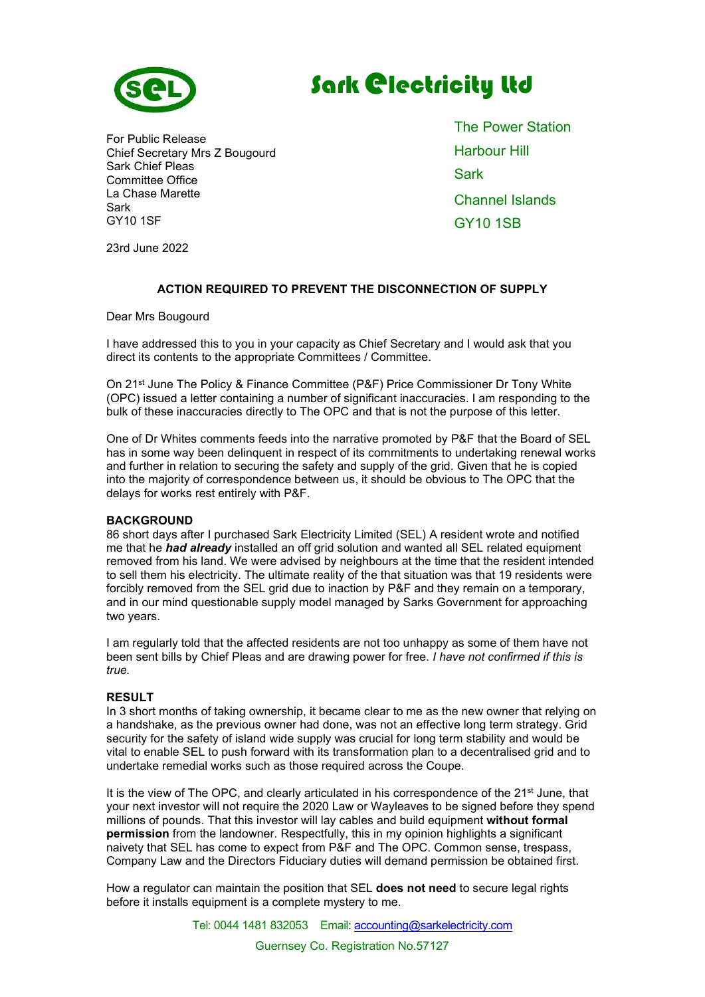

# **Sark @lectricity Ltd**

For Public Release Chief Secretary Mrs Z Bougourd Sark Chief Pleas Committee Office La Chase Marette Sark GY10 1SF

The Power Station Harbour Hill **Sark** Channel Islands GY10 1SB

23rd June 2022

## ACTION REQUIRED TO PREVENT THE DISCONNECTION OF SUPPLY

Dear Mrs Bougourd

I have addressed this to you in your capacity as Chief Secretary and I would ask that you direct its contents to the appropriate Committees / Committee.

On 21st June The Policy & Finance Committee (P&F) Price Commissioner Dr Tony White (OPC) issued a letter containing a number of significant inaccuracies. I am responding to the bulk of these inaccuracies directly to The OPC and that is not the purpose of this letter.

One of Dr Whites comments feeds into the narrative promoted by P&F that the Board of SEL has in some way been delinquent in respect of its commitments to undertaking renewal works and further in relation to securing the safety and supply of the grid. Given that he is copied into the majority of correspondence between us, it should be obvious to The OPC that the delays for works rest entirely with P&F.

#### BACKGROUND

86 short days after I purchased Sark Electricity Limited (SEL) A resident wrote and notified me that he **had already** installed an off grid solution and wanted all SEL related equipment removed from his land. We were advised by neighbours at the time that the resident intended to sell them his electricity. The ultimate reality of the that situation was that 19 residents were forcibly removed from the SEL grid due to inaction by P&F and they remain on a temporary, and in our mind questionable supply model managed by Sarks Government for approaching two years.

I am regularly told that the affected residents are not too unhappy as some of them have not been sent bills by Chief Pleas and are drawing power for free. I have not confirmed if this is true.

#### **RESULT**

In 3 short months of taking ownership, it became clear to me as the new owner that relying on a handshake, as the previous owner had done, was not an effective long term strategy. Grid security for the safety of island wide supply was crucial for long term stability and would be vital to enable SEL to push forward with its transformation plan to a decentralised grid and to undertake remedial works such as those required across the Coupe.

It is the view of The OPC, and clearly articulated in his correspondence of the 21<sup>st</sup> June, that your next investor will not require the 2020 Law or Wayleaves to be signed before they spend millions of pounds. That this investor will lay cables and build equipment without formal permission from the landowner. Respectfully, this in my opinion highlights a significant naivety that SEL has come to expect from P&F and The OPC. Common sense, trespass, Company Law and the Directors Fiduciary duties will demand permission be obtained first.

How a regulator can maintain the position that SEL does not need to secure legal rights before it installs equipment is a complete mystery to me.

Tel: 0044 1481 832053 Email: accounting@sarkelectricity.com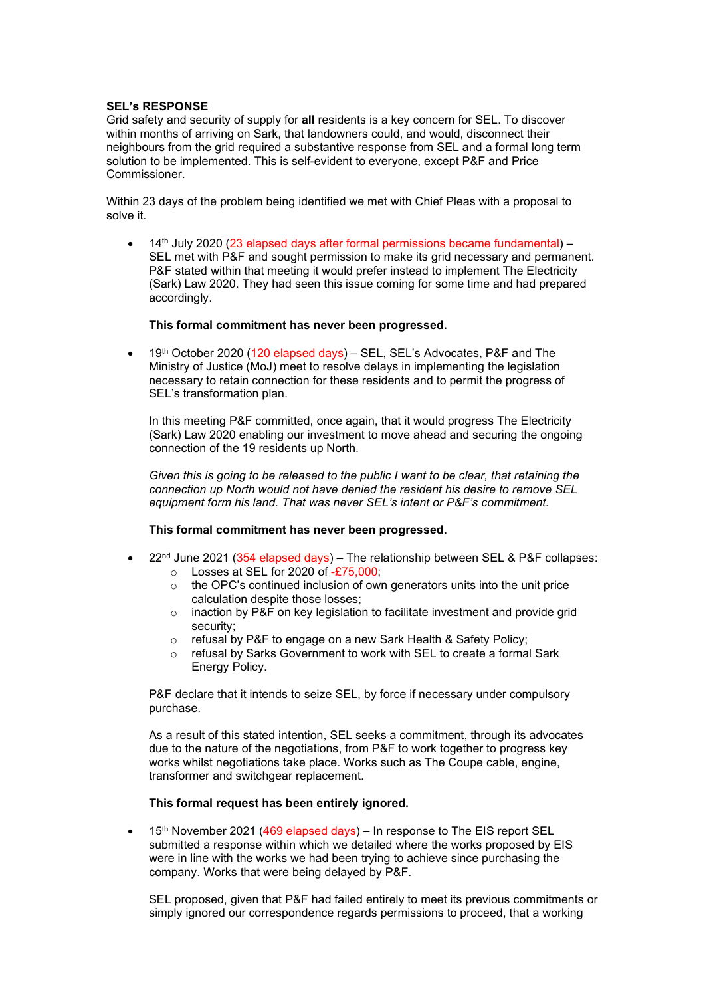### SEL's RESPONSE

Grid safety and security of supply for all residents is a key concern for SEL. To discover within months of arriving on Sark, that landowners could, and would, disconnect their neighbours from the grid required a substantive response from SEL and a formal long term solution to be implemented. This is self-evident to everyone, except P&F and Price Commissioner.

Within 23 days of the problem being identified we met with Chief Pleas with a proposal to solve it.

 $14<sup>th</sup>$  July 2020 (23 elapsed days after formal permissions became fundamental) – SEL met with P&F and sought permission to make its grid necessary and permanent. P&F stated within that meeting it would prefer instead to implement The Electricity (Sark) Law 2020. They had seen this issue coming for some time and had prepared accordingly.

#### This formal commitment has never been progressed.

• 19<sup>th</sup> October 2020 (120 elapsed days) – SEL, SEL's Advocates, P&F and The Ministry of Justice (MoJ) meet to resolve delays in implementing the legislation necessary to retain connection for these residents and to permit the progress of SEL's transformation plan.

In this meeting P&F committed, once again, that it would progress The Electricity (Sark) Law 2020 enabling our investment to move ahead and securing the ongoing connection of the 19 residents up North.

Given this is going to be released to the public I want to be clear, that retaining the connection up North would not have denied the resident his desire to remove SEL equipment form his land. That was never SEL's intent or P&F's commitment.

#### This formal commitment has never been progressed.

- $22<sup>nd</sup>$  June 2021 (354 elapsed days) The relationship between SEL & P&F collapses:
	- o Losses at SEL for 2020 of -£75,000;
	- o the OPC's continued inclusion of own generators units into the unit price calculation despite those losses;
	- o inaction by P&F on key legislation to facilitate investment and provide grid security;
	- o refusal by P&F to engage on a new Sark Health & Safety Policy;
	- o refusal by Sarks Government to work with SEL to create a formal Sark Energy Policy.

P&F declare that it intends to seize SEL, by force if necessary under compulsory purchase.

As a result of this stated intention, SEL seeks a commitment, through its advocates due to the nature of the negotiations, from P&F to work together to progress key works whilst negotiations take place. Works such as The Coupe cable, engine, transformer and switchgear replacement.

#### This formal request has been entirely ignored.

• 15<sup>th</sup> November 2021 (469 elapsed days) – In response to The EIS report SEL submitted a response within which we detailed where the works proposed by EIS were in line with the works we had been trying to achieve since purchasing the company. Works that were being delayed by P&F.

SEL proposed, given that P&F had failed entirely to meet its previous commitments or simply ignored our correspondence regards permissions to proceed, that a working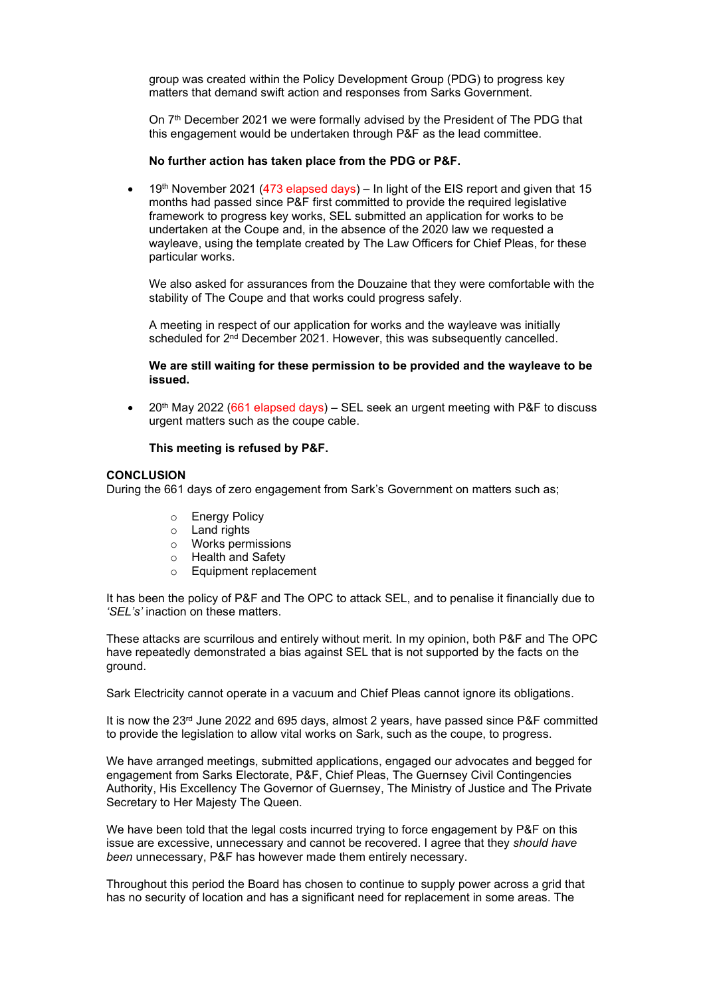group was created within the Policy Development Group (PDG) to progress key matters that demand swift action and responses from Sarks Government.

On  $7<sup>th</sup>$  December 2021 we were formally advised by the President of The PDG that this engagement would be undertaken through P&F as the lead committee.

#### No further action has taken place from the PDG or P&F.

 19th November 2021 (473 elapsed days) – In light of the EIS report and given that 15 months had passed since P&F first committed to provide the required legislative framework to progress key works, SEL submitted an application for works to be undertaken at the Coupe and, in the absence of the 2020 law we requested a wayleave, using the template created by The Law Officers for Chief Pleas, for these particular works.

We also asked for assurances from the Douzaine that they were comfortable with the stability of The Coupe and that works could progress safely.

A meeting in respect of our application for works and the wayleave was initially scheduled for 2<sup>nd</sup> December 2021. However, this was subsequently cancelled.

We are still waiting for these permission to be provided and the wayleave to be issued.

• 20<sup>th</sup> May 2022 (661 elapsed days) – SEL seek an urgent meeting with P&F to discuss urgent matters such as the coupe cable.

#### This meeting is refused by P&F.

#### **CONCLUSION**

During the 661 days of zero engagement from Sark's Government on matters such as;

- o Energy Policy
- o Land rights
- o Works permissions
- o Health and Safety
- o Equipment replacement

It has been the policy of P&F and The OPC to attack SEL, and to penalise it financially due to 'SEL's' inaction on these matters.

These attacks are scurrilous and entirely without merit. In my opinion, both P&F and The OPC have repeatedly demonstrated a bias against SEL that is not supported by the facts on the ground.

Sark Electricity cannot operate in a vacuum and Chief Pleas cannot ignore its obligations.

It is now the  $23<sup>rd</sup>$  June 2022 and 695 days, almost 2 years, have passed since P&F committed to provide the legislation to allow vital works on Sark, such as the coupe, to progress.

We have arranged meetings, submitted applications, engaged our advocates and begged for engagement from Sarks Electorate, P&F, Chief Pleas, The Guernsey Civil Contingencies Authority, His Excellency The Governor of Guernsey, The Ministry of Justice and The Private Secretary to Her Majesty The Queen.

We have been told that the legal costs incurred trying to force engagement by P&F on this issue are excessive, unnecessary and cannot be recovered. I agree that they should have been unnecessary, P&F has however made them entirely necessary.

Throughout this period the Board has chosen to continue to supply power across a grid that has no security of location and has a significant need for replacement in some areas. The